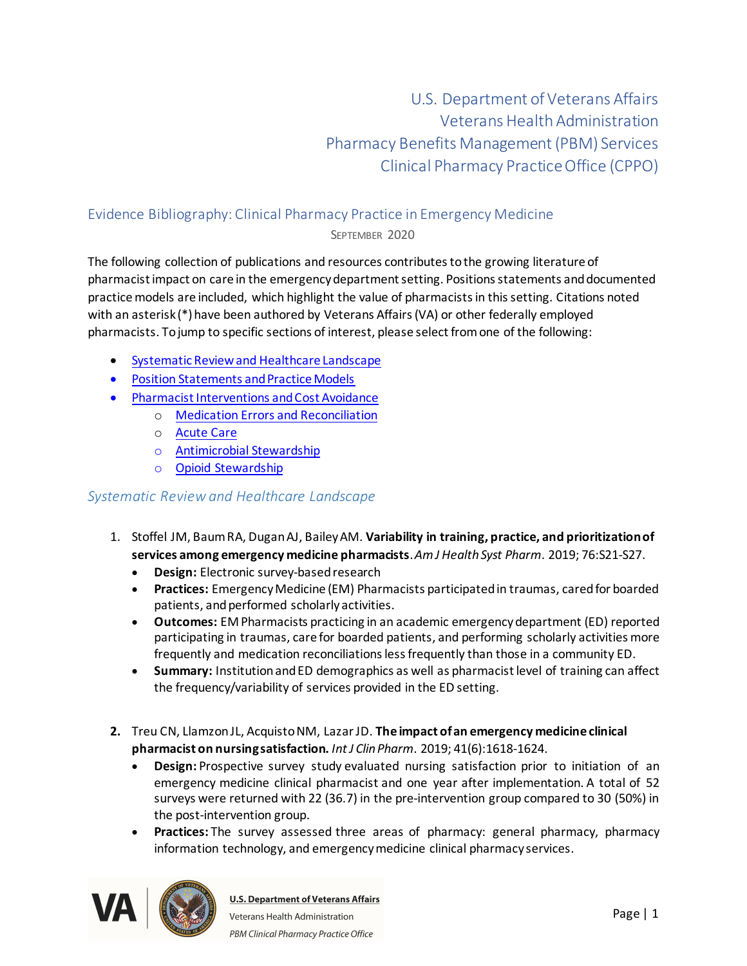U.S. Department of Veterans Affairs Veterans Health Administration Pharmacy Benefits Management (PBM) Services Clinical Pharmacy Practice Office (CPPO)

# Evidence Bibliography: Clinical Pharmacy Practice in Emergency Medicine

SEPTEMBER 2020

The following collection of publications and resources contributes to the growing literature of pharmacist impact on care in the emergency department setting. Positions statements and documented practice models are included, which highlight the value of pharmacists in this setting. Citations noted with an asterisk (\*) have been authored by Veterans Affairs (VA) or other federally employed pharmacists. To jump to specific sections of interest, please select from one of the following: 

- · [Systematic Review and Healthcare Landscape](#page-0-0)
- · [Position Statements and Practice Models](#page-3-0)
- · [Pharmacist Interventions](#page-6-0) and Cost Avoidance
	- o [Medication Errors and Reconciliation](#page-7-0)
		- o [Acute Care](#page-12-0)
		- o [Antimicrobial Stewardship](#page-15-0)
		- o [Opioid Stewardship](#page-18-0)

#### <span id="page-0-0"></span>*Systematic Review and Healthcare Landscape*

- 1. Stoffel JM, Baum RA, Dugan AJ, Bailey AM. **Variability in training, practice, and prioritization of services among emergency medicine pharmacists**. *Am J Health Syst Pharm*. 2019; 76:S21-S27.
	- · **Design:**Electronic survey-based research
	- · **Practices:** Emergency Medicine (EM) Pharmacists participated in traumas, cared for boarded patients, and performed scholarly activities.
	- · **Outcomes:**EM Pharmacists practicing in an academic emergency department (ED) reported participating in traumas, care for boarded patients, and performing scholarly activities more frequently and medication reconciliations less frequently than those in a community ED.
	- · **Summary:** Institution and ED demographics as well as pharmacist level of training can affect the frequency/variability of services provided in the ED setting.
- **2.** Treu CN, LlamzonJL, Acquisto NM, Lazar JD. **The impact of an emergency medicine clinical pharmacist on nursing satisfaction.** *Int J Clin Pharm*. 2019; 41(6):1618-1624.
	- · **Design:** Prospective survey study evaluated nursing satisfaction prior to initiation of an emergency medicine clinical pharmacist and one year after implementation. A total of 52 surveys were returned with 22 (36.7) in the pre-intervention group compared to 30 (50%) in the post-intervention group.
	- · **Practices:** The survey assessed three areas of pharmacy: general pharmacy, pharmacy information technology, and emergency medicine clinical pharmacy services.

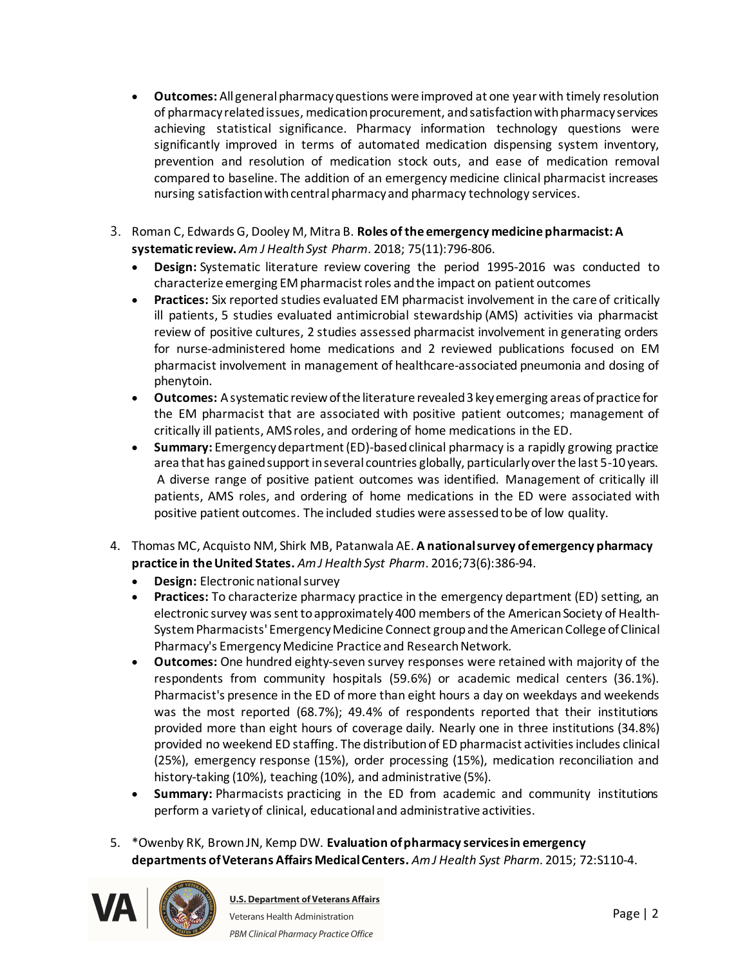- · **Outcomes:** All general pharmacy questions were improved at one year with timely resolution of pharmacy related issues, medication procurement, and satisfaction with pharmacy services achieving statistical significance. Pharmacy information technology questions were significantly improved in terms of automated medication dispensing system inventory, prevention and resolution of medication stock outs, and ease of medication removal compared to baseline. The addition of an emergency medicine clinical pharmacist increases nursing satisfaction with central pharmacy and pharmacy technology services.
- 3. Roman C, Edwards G, Dooley M, Mitra B. **Roles of the emergency medicine pharmacist: A systematic review.** *Am J Health Syst Pharm*. 2018; 75(11):796-806.
	- · **Design:**Systematic literature review covering the period 1995-2016 was conducted to characterize emerging EM pharmacist roles and the impact on patient outcomes
	- · **Practices:**Six reported studies evaluated EM pharmacist involvement in the care of critically ill patients, 5 studies evaluated antimicrobial stewardship (AMS) activities via pharmacist review of positive cultures, 2 studies assessed pharmacist involvement in generating orders for nurse-administered home medications and 2 reviewed publications focused on EM pharmacist involvement in management of healthcare-associated pneumonia and dosing of phenytoin.
	- · **Outcomes:**A systematic review of the literature revealed 3 key emerging areas of practice for the EM pharmacist that are associated with positive patient outcomes; management of critically ill patients, AMS roles, and ordering of home medications in the ED.
	- · **Summary:** Emergency department (ED)-based clinical pharmacy is a rapidly growing practice area that has gained support in several countries globally, particularly over the last 5-10 years.  A diverse range of positive patient outcomes was identified. Management of critically ill patients, AMS roles, and ordering of home medications in the ED were associated with positive patient outcomes. The included studies were assessed to be of low quality.
- 4. Thomas MC, Acquisto NM, Shirk MB, Patanwala AE. **A national survey of emergency pharmacy practice in the United States.** *Am J Health Syst Pharm*. 2016;73(6):386-94.
	- · **Design:**Electronic national survey
	- · **Practices:**To characterize pharmacy practice in the emergency department (ED) setting, an electronic survey was sent to approximately 400 members of the American Society of Health-System Pharmacists' Emergency Medicine Connect group and the American College of Clinical Pharmacy's Emergency Medicine Practice and Research Network.
	- · **Outcomes:**One hundred eighty-seven survey responses were retained with majority of the respondents from community hospitals (59.6%) or academic medical centers (36.1%). Pharmacist's presence in the ED of more than eight hours a day on weekdays and weekends was the most reported (68.7%); 49.4% of respondents reported that their institutions provided more than eight hours of coverage daily. Nearly one in three institutions (34.8%) provided no weekend ED staffing. The distribution of ED pharmacist activities includes clinical (25%), emergency response (15%), order processing (15%), medication reconciliation and history-taking (10%), teaching (10%), and administrative (5%).
	- · **Summary:**Pharmacists practicing in the ED from academic and community institutions perform a variety of clinical, educational and administrative activities.
- 5. \*Owenby RK, Brown JN, Kemp DW. **Evaluation of pharmacy services in emergency departments of Veterans Affairs Medical Centers.** *Am J Health Syst Pharm*. 2015; 72:S110-4.

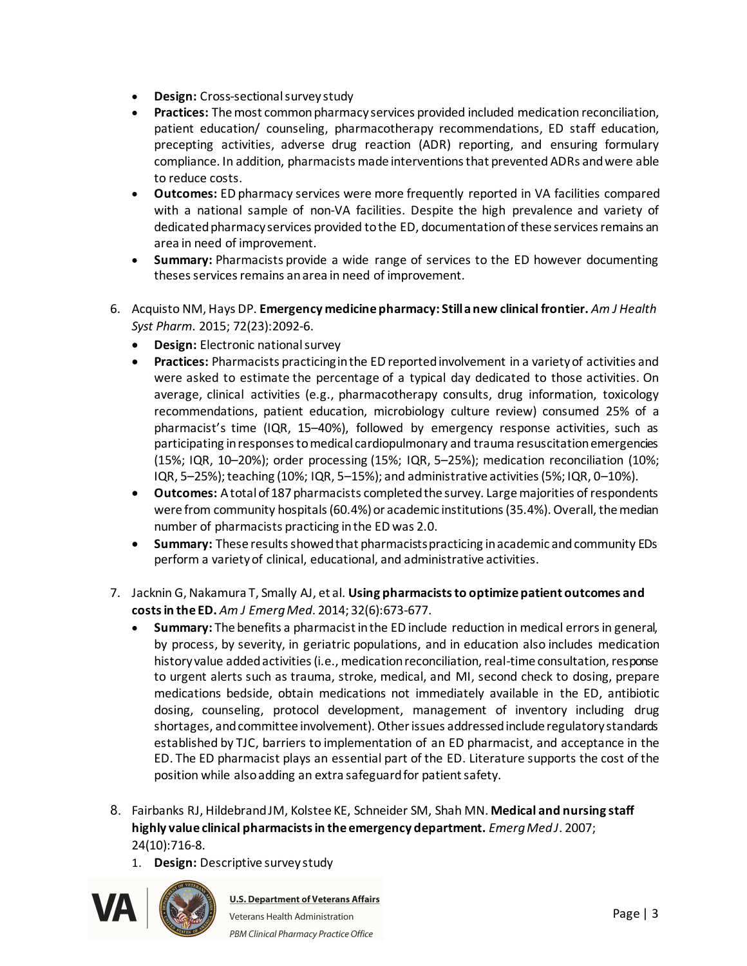- · **Design:**Cross-sectional survey study
- · **Practices:**The most common pharmacy services provided included medication reconciliation, patient education/ counseling, pharmacotherapy recommendations, ED staff education, precepting activities, adverse drug reaction (ADR) reporting, and ensuring formulary compliance. In addition, pharmacists made interventions that prevented ADRs and were able to reduce costs.
- · **Outcomes:**ED pharmacy services were more frequently reported in VA facilities compared with a national sample of non-VA facilities. Despite the high prevalence and variety of dedicated pharmacy services provided to the ED, documentation of these services remains an area in need of improvement.
- **Summary:** Pharmacists provide a wide range of services to the ED however documenting theses services remains an area in need of improvement.
- 6. Acquisto NM, Hays DP. **Emergency medicine pharmacy: Still a new clinical frontier.** *Am J Health Syst Pharm*. 2015; 72(23):2092-6.
	- · **Design:**Electronic national survey
	- · **Practices:**Pharmacists practicing in the ED reported involvement in a variety of activities and were asked to estimate the percentage of a typical day dedicated to those activities. On average, clinical activities (e.g., pharmacotherapy consults, drug information, toxicology recommendations, patient education, microbiology culture review) consumed 25% of a pharmacist's time (IQR, 15–40%), followed by emergency response activities, such as participating in responses to medical cardiopulmonary and trauma resuscitation emergencies (15%; IQR, 10–20%); order processing (15%; IQR, 5–25%); medication reconciliation (10%; IQR, 5–25%); teaching (10%; IQR, 5–15%); and administrative activities (5%; IQR, 0–10%).
	- · **Outcomes:**A total of 187 pharmacists completed the survey. Large majorities of respondents were from community hospitals (60.4%) or academic institutions (35.4%). Overall, the median number of pharmacists practicing in the ED was 2.0.
	- · **Summary:**These results showed that pharmacists practicing in academic and community EDs perform a variety of clinical, educational, and administrative activities.
- 7. Jacknin G, Nakamura T, Smally AJ, et al. **Using pharmacists to optimize patient outcomes and costs in the ED.** *Am J EmergMed*. 2014; 32(6):673-677.
	- · **Summary:** The benefits a pharmacist in the ED include reduction in medical errors in general, by process, by severity, in geriatric populations, and in education also includes medication history value added activities (i.e., medication reconciliation, real-time consultation, response to urgent alerts such as trauma, stroke, medical, and MI, second check to dosing, prepare medications bedside, obtain medications not immediately available in the ED, antibiotic dosing, counseling, protocol development, management of inventory including drug shortages, and committee involvement). Other issues addressed include regulatory standards established by TJC, barriers to implementation of an ED pharmacist, and acceptance in the ED. The ED pharmacist plays an essential part of the ED. Literature supports the cost of the position while also adding an extra safeguard for patient safety.
- 8. Fairbanks RJ, Hildebrand JM, Kolstee KE, Schneider SM, Shah MN. **Medical and nursing staff highly value clinical pharmacists in the emergency department.** *EmergMed J*. 2007; 24(10):716-8.
	- 1. **Design:**Descriptive survey study

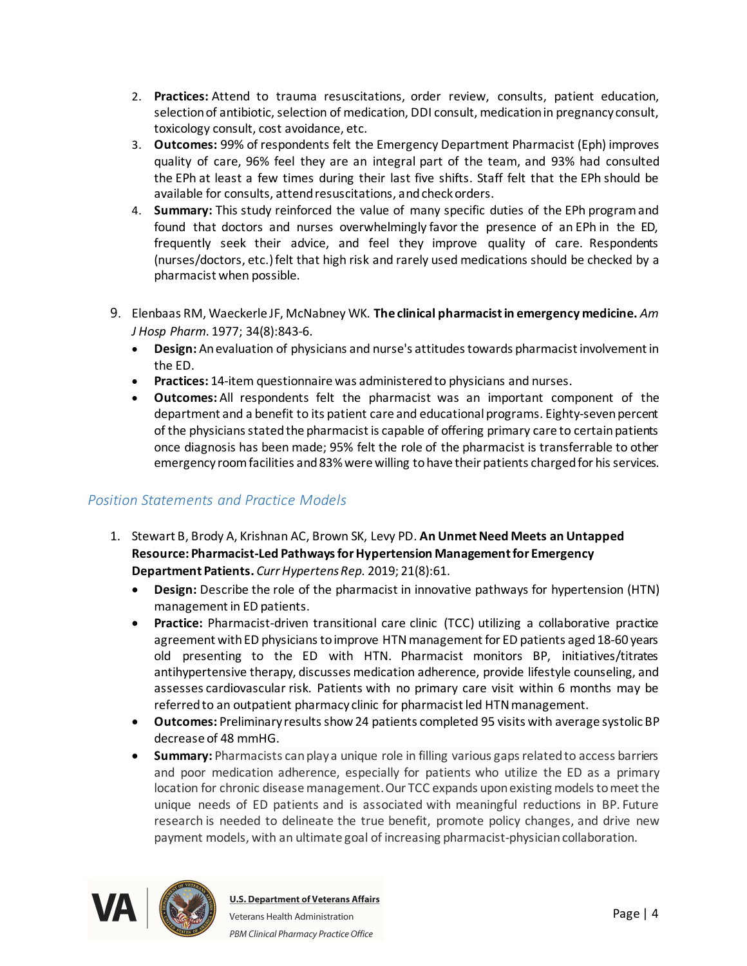- 2. **Practices:**Attend to trauma resuscitations, order review, consults, patient education, selection of antibiotic, selection of medication, DDI consult, medication in pregnancy consult, toxicology consult, cost avoidance, etc.
- 3. **Outcomes:**99% of respondents felt the Emergency Department Pharmacist (Eph) improves quality of care, 96% feel they are an integral part of the team, and 93% had consulted the EPh at least a few times during their last five shifts. Staff felt that the EPh should be available for consults, attend resuscitations, and check orders.
- 4. **Summary:**This study reinforced the value of many specific duties of the EPh programand found that doctors and nurses overwhelmingly favor the presence of an EPh in the ED, frequently seek their advice, and feel they improve quality of care.  Respondents (nurses/doctors, etc.) felt that high risk and rarely used medications should be checked by a pharmacist when possible.
- 9. Elenbaas RM, Waeckerle JF, McNabney WK. **The clinical pharmacist in emergency medicine.** *Am J Hosp Pharm*. 1977; 34(8):843-6.
	- · **Design:** An evaluation of physicians and nurse's attitudes towards pharmacist involvement in the ED.
	- · **Practices:** 14-item questionnaire was administered to physicians and nurses.
	- · **Outcomes:** All respondents felt the pharmacist was an important component of the department and a benefit to its patient care and educational programs. Eighty-seven percent of the physicians stated the pharmacist is capable of offering primary care to certain patients once diagnosis has been made; 95% felt the role of the pharmacist is transferrable to other emergency room facilities and 83% were willing to have their patients charged for his services.

# <span id="page-3-0"></span>*Position Statements and Practice Models*

- 1. Stewart B, Brody A, Krishnan AC, Brown SK, Levy PD. **An Unmet Need Meets an Untapped Resource: Pharmacist-Led Pathways for Hypertension Management for Emergency Department Patients.** *Curr HypertensRep.* 2019; 21(8):61.
	- · **Design:** Describe the role of the pharmacist in innovative pathways for hypertension (HTN) management in ED patients.
	- · **Practice:** Pharmacist-driven transitional care clinic (TCC) utilizing a collaborative practice agreement with ED physicians to improve HTNmanagement for ED patients aged 18-60 years old presenting to the ED with HTN. Pharmacist monitors BP, initiatives/titrates antihypertensive therapy, discusses medication adherence, provide lifestyle counseling, and assesses cardiovascular risk. Patients with no primary care visit within 6 months may be referred to an outpatient pharmacy clinic for pharmacist led HTN management.
	- · **Outcomes:** Preliminary results show 24 patients completed 95 visits with average systolic BP decrease of 48 mmHG.
	- · **Summary:** Pharmacists can play a unique role in filling various gaps related to access barriers and poor medication adherence, especially for patients who utilize the ED as a primary location for chronic disease management. Our TCC expands upon existing models to meet the unique needs of ED patients and is associated with meaningful reductions in BP. Future research is needed to delineate the true benefit, promote policy changes, and drive new payment models, with an ultimate goal of increasing pharmacist-physician collaboration.

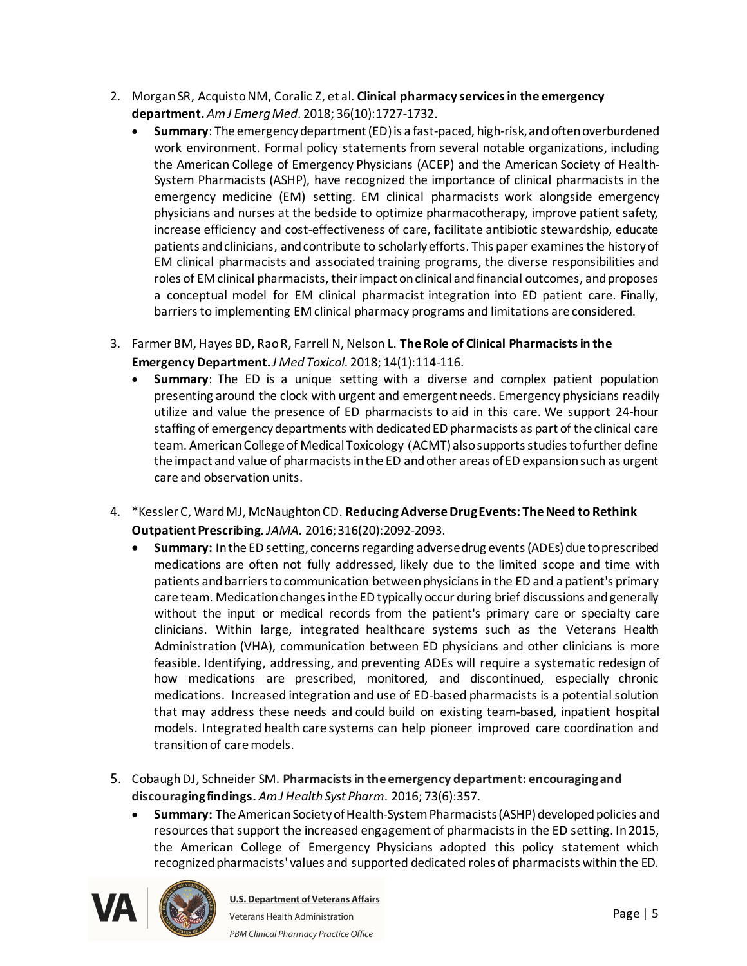- 2. Morgan SR, Acquisto NM, Coralic Z, et al. **Clinical pharmacy services in the emergency department.** *Am J EmergMed*. 2018; 36(10):1727-1732.
	- · **Summary**: The emergency department (ED) is a fast-paced, high-risk, and often overburdened work environment. Formal policy statements from several notable organizations, including the American College of Emergency Physicians (ACEP) and the American Society of Health-System Pharmacists (ASHP), have recognized the importance of clinical pharmacists in the emergency medicine (EM) setting. EM clinical pharmacists work alongside emergency physicians and nurses at the bedside to optimize pharmacotherapy, improve patient safety, increase efficiency and cost-effectiveness of care, facilitate antibiotic stewardship, educate patients and clinicians, and contribute to scholarly efforts. This paper examines the history of EM clinical pharmacists and associated training programs, the diverse responsibilities and roles of EM clinical pharmacists, their impact on clinical and financial outcomes, and proposes a conceptual model for EM clinical pharmacist integration into ED patient care. Finally, barriers to implementing EM clinical pharmacy programs and limitations are considered.
- 3. Farmer BM, Hayes BD, Rao R, Farrell N, Nelson L. **The Role of Clinical Pharmacists in the Emergency Department.***J Med Toxicol*. 2018; 14(1):114-116.
	- · **Summary**: The ED is a unique setting with a diverse and complex patient population presenting around the clock with urgent and emergent needs. Emergency physicians readily utilize and value the presence of ED pharmacists to aid in this care. We support 24-hour staffing of emergency departments with dedicated ED pharmacists as part of the clinical care team. American College of Medical Toxicology (ACMT) also supports studies to further define the impact and value of pharmacists in the ED and other areas of ED expansion such as urgent care and observation units.
- 4. \*Kessler C, Ward MJ, McNaughton CD. **Reducing Adverse Drug Events: The Need to Rethink Outpatient Prescribing.** *JAMA*. 2016; 316(20):2092-2093.
	- · **Summary:**In the ED setting, concerns regarding adverse drug events (ADEs) due to prescribed medications are often not fully addressed, likely due to the limited scope and time with patients and barriers to communication between physicians in the ED and a patient's primary care team. Medication changes in the ED typically occur during brief discussions and generally without the input or medical records from the patient's primary care or specialty care clinicians. Within large, integrated healthcare systems such as the Veterans Health Administration (VHA), communication between ED physicians and other clinicians is more feasible. Identifying, addressing, and preventing ADEs will require a systematic redesign of how medications are prescribed, monitored, and discontinued, especially chronic medications.  Increased integration and use of ED-based pharmacists is a potential solution that may address these needs and could build on existing team-based, inpatient hospital models. Integrated health care systems can help pioneer improved care coordination and transition of care models.
- 5. CobaughDJ, Schneider SM. **Pharmacists in the emergency department: encouraging and discouraging findings.** *Am J Health Syst Pharm*. 2016; 73(6):357.
	- · **Summary:** The American Society of Health-System Pharmacists (ASHP) developed policies and resources that support the increased engagement of pharmacists in the ED setting. In 2015, the American College of Emergency Physicians adopted this policy statement which recognized pharmacists' values and supported dedicated roles of pharmacists within the ED.

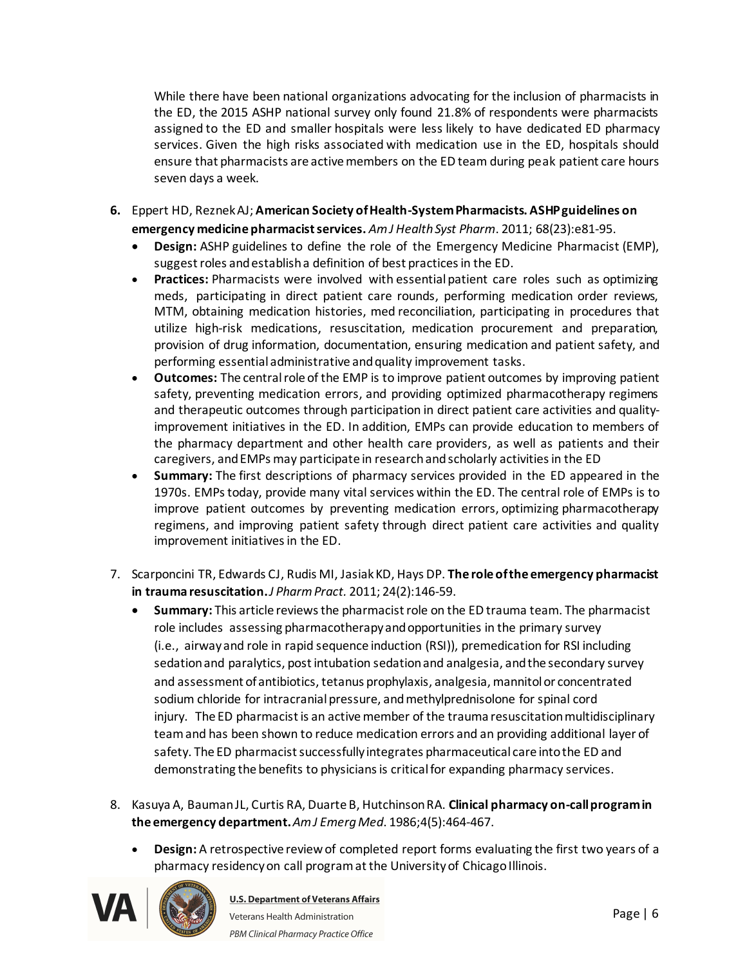While there have been national organizations advocating for the inclusion of pharmacists in the ED, the 2015 ASHP national survey only found 21.8% of respondents were pharmacists assigned to the ED and smaller hospitals were less likely to have dedicated ED pharmacy services. Given the high risks associated with medication use in the ED, hospitals should ensure that pharmacists are active members on the ED team during peak patient care hours seven days a week. 

- **6.** Eppert HD, ReznekAJ; **American Society of Health-System Pharmacists. ASHP guidelines on emergency medicine pharmacist services.** *Am J Health Syst Pharm*. 2011; 68(23):e81-95.
	- · **Design:**ASHP guidelines to define the role of the Emergency Medicine Pharmacist (EMP), suggest roles and establish a definition of best practices in the ED.
	- · **Practices:**Pharmacists were involved with essentialpatient care roles such as optimizing meds,  participating in direct patient care rounds, performing medication order reviews, MTM, obtaining medication histories, med reconciliation, participating in procedures that utilize high-risk medications, resuscitation, medication procurement and preparation, provision of drug information, documentation, ensuring medication and patient safety, and performing essential administrative and quality improvement tasks.
	- · **Outcomes:**The central role of the EMP is to improve patient outcomes by improving patient safety, preventing medication errors, and providing optimized pharmacotherapy regimens and therapeutic outcomes through participation in direct patient care activities and qualityimprovement initiatives in the ED. In addition, EMPs can provide education to members of the pharmacy department and other health care providers, as well as patients and their caregivers, and EMPs may participate in research and scholarly activities in the ED
	- · **Summary:** The first descriptions of pharmacy services provided in the ED appeared in the 1970s. EMPs today, provide many vital services within the ED. The central role of EMPs is to improve patient outcomes by preventing medication errors, optimizing pharmacotherapy regimens, and improving patient safety through direct patient care activities and quality improvement initiatives in the ED.
- 7. Scarponcini TR, Edwards CJ, Rudis MI, JasiakKD, Hays DP. **The role of the emergency pharmacist in trauma resuscitation.***J PharmPract.* 2011; 24(2):146-59.
	- · **Summary:** This article reviews the pharmacist role on the ED trauma team. The pharmacist role includes assessing pharmacotherapy and opportunities in the primary survey (i.e., airway and role in rapid sequence induction (RSI)), premedication for RSI including sedation and paralytics, post intubation sedation and analgesia, and the secondary survey and assessment of antibiotics, tetanus prophylaxis, analgesia, mannitol or concentrated sodium chloride for intracranial pressure, and methylprednisolone for spinal cord injury. The ED pharmacist is an active member of the trauma resuscitation multidisciplinary team and has been shown to reduce medication errors and an providing additional layer of safety. The ED pharmacist successfully integrates pharmaceutical care into the ED and demonstrating the benefits to physicians is critical for expanding pharmacy services.
- 8. Kasuya A, Bauman JL, Curtis RA, Duarte B, Hutchinson RA. **Clinical pharmacy on-call program in the emergency department.***Am J EmergMed*. 1986;4(5):464-467.
	- · **Design:** A retrospective review of completed report forms evaluating the first two years of a pharmacy residency on call program at the University of Chicago Illinois.

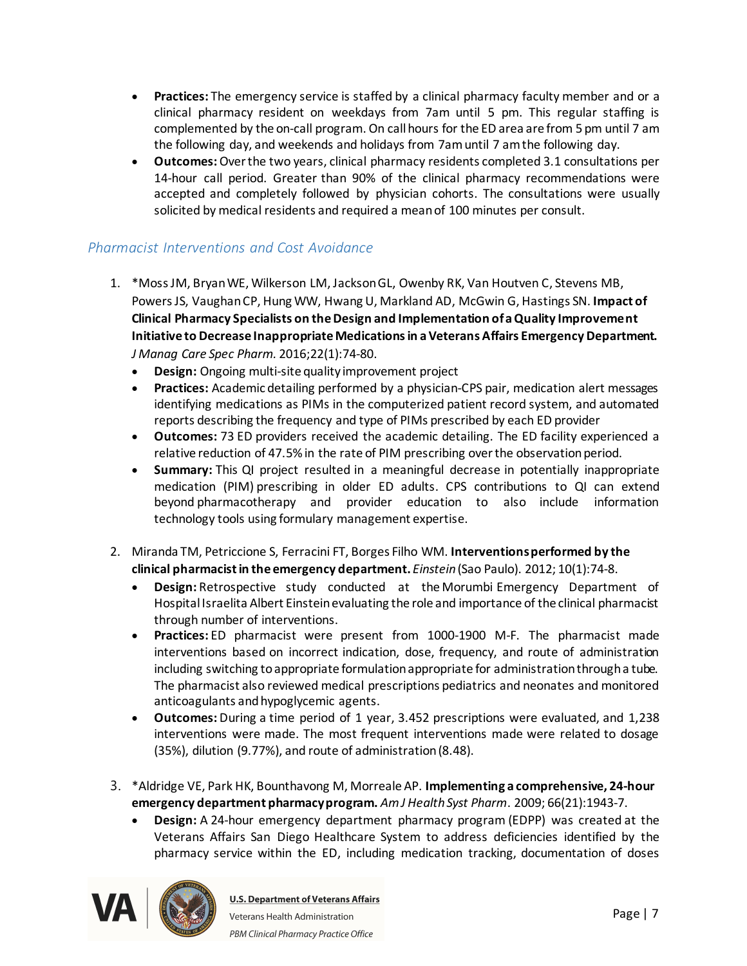- · **Practices:** The emergency service is staffed by a clinical pharmacy faculty member and or a clinical pharmacy resident on weekdays from 7am until 5 pm. This regular staffing is complemented by the on-call program. On call hours for the ED area are from 5 pm until 7 am the following day, and weekends and holidays from 7am until 7 am the following day.
- · **Outcomes:**Over the two years, clinical pharmacy residents completed 3.1 consultations per 14-hour call period. Greater than 90% of the clinical pharmacy recommendations were accepted and completely followed by physician cohorts. The consultations were usually solicited by medical residents and required a mean of 100 minutes per consult.

### <span id="page-6-0"></span>*Pharmacist Interventions and Cost Avoidance*

- 1. \*Moss JM, Bryan WE, Wilkerson LM, Jackson GL, Owenby RK, Van Houtven C, Stevens MB, Powers JS, Vaughan CP, Hung WW, Hwang U, Markland AD, McGwin G, Hastings SN. **Impact of Clinical Pharmacy Specialists on the Design and Implementation of a Quality Improvement Initiative to Decrease Inappropriate Medications in a Veterans Affairs Emergency Department.**  *J Manag Care Spec Pharm.* 2016;22(1):74-80.
	- · **Design:**Ongoing multi-site quality improvement project
	- · **Practices:**Academic detailing performed by a physician-CPS pair, medication alert messages identifying medications as PIMs in the computerized patient record system, and automated reports describing the frequency and type of PIMs prescribed by each ED provider
	- · **Outcomes:**73 ED providers received the academic detailing. The ED facility experienced a relative reduction of 47.5% in the rate of PIM prescribing over the observation period.
	- · **Summary:**This QI project resulted in a meaningful decrease in potentially inappropriate medication (PIM) prescribing in older ED adults. CPS contributions to QI can extend beyond pharmacotherapy and provider education to also include information technology tools using formulary management expertise.
- 2. Miranda TM, Petriccione S, Ferracini FT, Borges Filho WM. **Interventions performed by the clinical pharmacist in the emergency department.** *Einstein*(Sao Paulo). 2012; 10(1):74-8.
	- · **Design:** Retrospective study conducted at the Morumbi Emergency Department of Hospital Israelita Albert Einstein evaluating the role and importance of the clinical pharmacist through number of interventions.
	- · **Practices:** ED pharmacist were present from 1000-1900 M-F. The pharmacist made interventions based on incorrect indication, dose, frequency, and route of administration including switching to appropriate formulation appropriate for administration through a tube. The pharmacist also reviewed medical prescriptions pediatrics and neonates and monitored anticoagulants and hypoglycemic agents.
	- · **Outcomes:** During a time period of 1 year, 3.452 prescriptions were evaluated, and 1,238 interventions were made. The most frequent interventions made were related to dosage (35%), dilution (9.77%), and route of administration (8.48).
- 3. \*Aldridge VE, Park HK, Bounthavong M, Morreale AP. **Implementing a comprehensive, 24-hour emergency department pharmacy program.** *Am J Health Syst Pharm*. 2009; 66(21):1943-7.
	- · **Design:**A 24-hour emergency department pharmacy program (EDPP) was created at the Veterans Affairs San Diego Healthcare System to address deficiencies identified by the pharmacy service within the ED, including medication tracking, documentation of doses

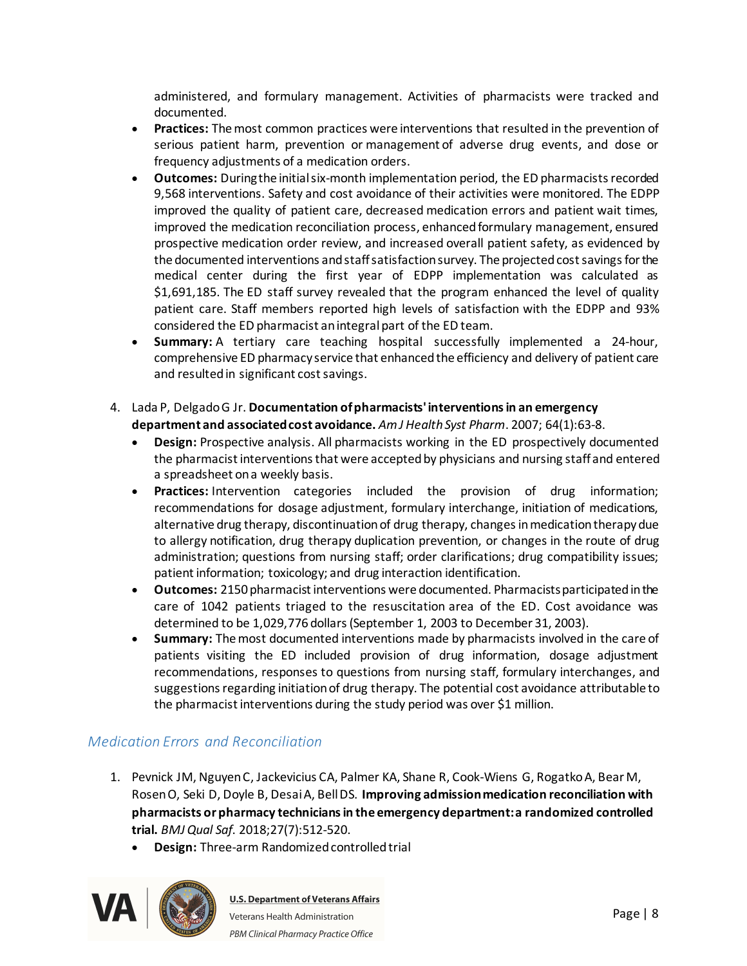administered, and formulary management. Activities of pharmacists were tracked and documented. 

- · **Practices:**The most common practices were interventions that resulted in the prevention of serious patient harm, prevention or management of adverse drug events, and dose or frequency adjustments of a medication orders.
- · **Outcomes:**During the initial six-month implementation period, the ED pharmacists recorded 9,568 interventions. Safety and cost avoidance of their activities were monitored. The EDPP improved the quality of patient care, decreased medication errors and patient wait times, improved the medication reconciliation process, enhanced formulary management, ensured prospective medication order review, and increased overall patient safety, as evidenced by the documented interventions and staff satisfaction survey. The projected cost savings for the medical center during the first year of EDPP implementation was calculated as \$1,691,185. The ED staff survey revealed that the program enhanced the level of quality patient care. Staff members reported high levels of satisfaction with the EDPP and 93% considered the ED pharmacist an integral part of the ED team.
- · **Summary:**A tertiary care teaching hospital successfully implemented a 24-hour, comprehensive ED pharmacy service that enhanced the efficiency and delivery of patient care and resulted in significant cost savings.
- 4. Lada P, Delgado G Jr. **Documentation of pharmacists' interventions in an emergency department and associated cost avoidance.** *Am J Health Syst Pharm*. 2007; 64(1):63-8.
	- · **Design:**Prospective analysis. All pharmacists working in the ED prospectively documented the pharmacist interventions that were accepted by physicians and nursing staff and entered a spreadsheet on a weekly basis.
	- · **Practices:**Intervention categories included the provision of drug information; recommendations for dosage adjustment, formulary interchange, initiation of medications, alternative drug therapy, discontinuation of drug therapy, changes in medication therapy due to allergy notification, drug therapy duplication prevention, or changes in the route of drug administration; questions from nursing staff; order clarifications; drug compatibility issues; patient information; toxicology; and drug interaction identification.
	- · **Outcomes:**2150 pharmacist interventions were documented. Pharmacists participated in the care of 1042 patients triaged to the resuscitation area of the ED. Cost avoidance was determined to be 1,029,776 dollars (September 1, 2003 to December 31, 2003).
	- · **Summary:** The most documented interventions made by pharmacists involved in the care of patients visiting the ED included provision of drug information, dosage adjustment recommendations, responses to questions from nursing staff, formulary interchanges, and suggestions regarding initiation of drug therapy. The potential cost avoidance attributable to the pharmacist interventions during the study period was over \$1 million.

# <span id="page-7-0"></span>*Medication Errors and Reconciliation*

- 1. Pevnick JM, Nguyen C, Jackevicius CA, Palmer KA, Shane R, Cook-Wiens G, Rogatko A, Bear M, Rosen O, Seki D, Doyle B, Desai A, Bell DS. **Improving admission medication reconciliation with pharmacists or pharmacy technicians in the emergency department: a randomized controlled trial.** *BMJ Qual Saf*. 2018;27(7):512-520.
	- · **Design:**Three-arm Randomized controlled trial

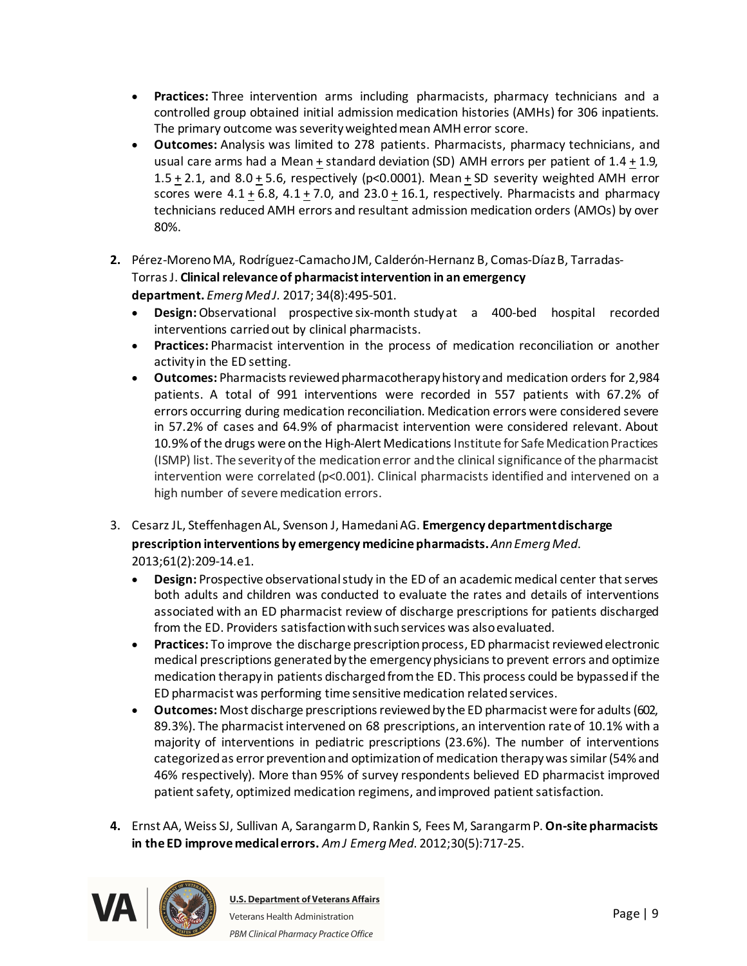- · **Practices:**Three intervention arms including pharmacists, pharmacy technicians and a controlled group obtained initial admission medication histories (AMHs) for 306 inpatients. The primary outcome was severity weighted mean AMH error score.
- · **Outcomes:**Analysis was limited to 278 patients. Pharmacists, pharmacy technicians, and usual care arms had a Mean + standard deviation (SD) AMH errors per patient of 1.4 + 1.9, 1.5 + 2.1, and 8.0 + 5.6, respectively (p<0.0001). Mean + SD severity weighted AMH error scores were  $4.1 \pm 6.8$ ,  $4.1 \pm 7.0$ , and  $23.0 \pm 16.1$ , respectively. Pharmacists and pharmacy technicians reduced AMH errors and resultant admission medication orders (AMOs) by over 80%.
- **2.** Pérez-Moreno MA, Rodríguez-Camacho JM, Calderón-Hernanz B, Comas-Díaz B, Tarradas-TorrasJ. **Clinical relevance of pharmacist intervention in an emergency department.** *EmergMed J.* 2017; 34(8):495-501.
	- · **Design:**Observational prospective six-month studyat a 400-bed hospital recorded interventions carried out by clinical pharmacists.
	- · **Practices:** Pharmacist intervention in the process of medication reconciliation or another activity in the ED setting.
	- · **Outcomes:** Pharmacists reviewed pharmacotherapy history and medication orders for 2,984 patients. A total of 991 interventions were recorded in 557 patients with 67.2% of errors occurring during medication reconciliation. Medication errors were considered severe in 57.2% of cases and 64.9% of pharmacist intervention were considered relevant. About 10.9% of the drugs were on the High-Alert Medications Institute for Safe Medication Practices (ISMP) list. The severity of the medication error and the clinical significance of the pharmacist intervention were correlated ( $p$ <0.001). Clinical pharmacists identified and intervened on a high number of severe medication errors.
- 3. CesarzJL, SteffenhagenAL, Svenson J, HamedaniAG. **Emergency department discharge prescription interventions by emergency medicine pharmacists.***AnnEmergMed*. 2013;61(2):209-14.e1.
	- · **Design:** Prospective observational study in the ED of an academic medical center that serves both adults and children was conducted to evaluate the rates and details of interventions associated with an ED pharmacist review of discharge prescriptions for patients discharged from the ED. Providers satisfactionwith such services was also evaluated.
	- · **Practices:** To improve the discharge prescription process, ED pharmacist reviewed electronic medical prescriptions generated by the emergency physicians to prevent errors and optimize medication therapy in patients discharged from the ED. This process could be bypassed if the ED pharmacist was performing time sensitive medication related services.
	- · **Outcomes:** Most discharge prescriptions reviewed by the ED pharmacist were for adults (602, 89.3%). The pharmacist intervened on 68 prescriptions, an intervention rate of 10.1% with a majority of interventions in pediatric prescriptions (23.6%). The number of interventions categorized as error prevention and optimization of medication therapy was similar (54% and 46% respectively). More than 95% of survey respondents believed ED pharmacist improved patient safety, optimized medication regimens, and improved patient satisfaction.
- **4.** Ernst AA, Weiss SJ, Sullivan A, SarangarmD, Rankin S, Fees M, SarangarmP. **On-site pharmacists in the ED improve medical errors.** *Am J EmergMed*. 2012;30(5):717-25.

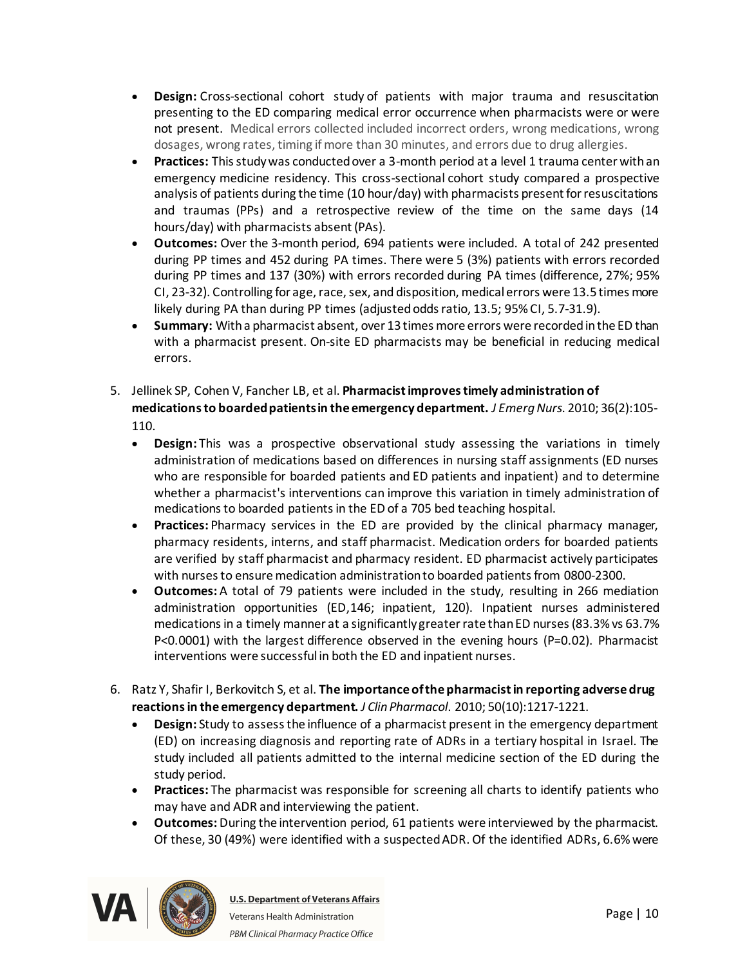- · **Design:**Cross-sectional cohort study of patients with major trauma and resuscitation presenting to the ED comparing medical error occurrence when pharmacists were or were not present. Medical errors collected included incorrect orders, wrong medications, wrong dosages, wrong rates, timing ifmore than 30 minutes, and errors due to drug allergies.
- · **Practices:**This study was conducted over a 3-month period at a level 1 trauma center with an emergency medicine residency. This cross-sectional cohort study compared a prospective analysis of patients during the time (10 hour/day) with pharmacists present for resuscitations and traumas (PPs) and a retrospective review of the time on the same days (14 hours/day) with pharmacists absent (PAs).
- · **Outcomes:**Over the 3-month period, 694 patients were included. A total of 242 presented during PP times and 452 during PA times. There were 5 (3%) patients with errors recorded during PP times and 137 (30%) with errors recorded during PA times (difference, 27%; 95% CI, 23-32). Controlling for age, race, sex, and disposition, medical errors were 13.5 times more likely during PA than during PP times (adjusted odds ratio, 13.5; 95% CI, 5.7-31.9).
- · **Summary:**With a pharmacist absent, over 13 times more errors were recorded in the ED than with a pharmacist present. On-site ED pharmacists may be beneficial in reducing medical errors.
- 5. Jellinek SP, Cohen V, Fancher LB, et al. **Pharmacist improves timely administration of medications to boarded patients in the emergency department.** *J EmergNurs*. 2010; 36(2):105- 110.
	- · **Design:** This was a prospective observational study assessing the variations in timely administration of medications based on differences in nursing staff assignments (ED nurses who are responsible for boarded patients and ED patients and inpatient) and to determine whether a pharmacist's interventions can improve this variation in timely administration of medications to boarded patients in the ED of a 705 bed teaching hospital.
	- · **Practices:** Pharmacy services in the ED are provided by the clinical pharmacy manager, pharmacy residents, interns, and staff pharmacist. Medication orders for boarded patients are verified by staff pharmacist and pharmacy resident. ED pharmacist actively participates with nurses to ensure medication administration to boarded patients from 0800-2300.
	- · **Outcomes:** A total of 79 patients were included in the study, resulting in 266 mediation administration opportunities (ED,146; inpatient, 120). Inpatient nurses administered medications in a timely manner at a significantly greater rate than ED nurses (83.3% vs 63.7% P<0.0001) with the largest difference observed in the evening hours (P=0.02). Pharmacist interventions were successful in both the ED and inpatient nurses.
- 6. Ratz Y, Shafir I, Berkovitch S, et al. **The importance of the pharmacist in reporting adverse drug reactions in the emergency department.** *J Clin Pharmacol*. 2010; 50(10):1217-1221.
	- · **Design:** Study to assess the influence of a pharmacist present in the emergency department (ED) on increasing diagnosis and reporting rate of ADRs in a tertiary hospital in Israel. The study included all patients admitted to the internal medicine section of the ED during the study period.
	- · **Practices:** The pharmacist was responsible for screening all charts to identify patients who may have and ADR and interviewing the patient.
	- · **Outcomes:** During the intervention period, 61 patients were interviewed by the pharmacist. Of these, 30 (49%) were identified with a suspected ADR. Of the identified ADRs, 6.6% were

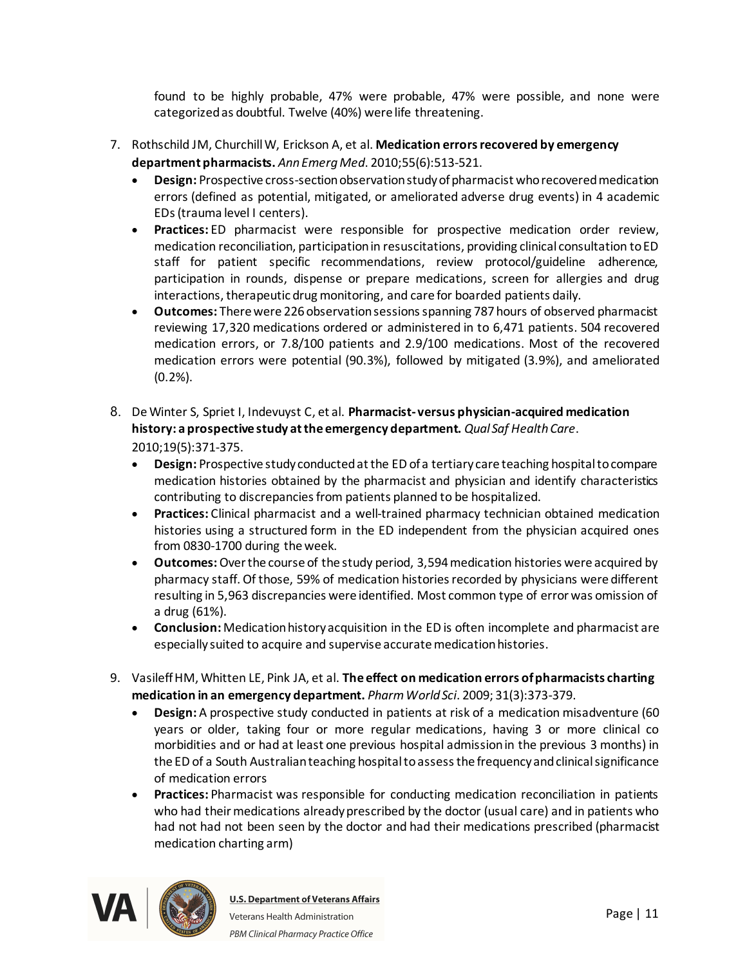found to be highly probable, 47% were probable, 47% were possible, and none were categorized as doubtful. Twelve (40%) were life threatening.

- 7. Rothschild JM, Churchill W, Erickson A, et al. **Medication errors recovered by emergency department pharmacists.** *AnnEmergMed*. 2010;55(6):513-521.
	- · **Design:** Prospective cross-section observation study of pharmacist who recovered medication errors (defined as potential, mitigated, or ameliorated adverse drug events) in 4 academic EDs (trauma level I centers).
	- · **Practices:** ED pharmacist were responsible for prospective medication order review, medication reconciliation, participation in resuscitations, providing clinical consultation to ED staff for patient specific recommendations, review protocol/guideline adherence, participation in rounds, dispense or prepare medications, screen for allergies and drug interactions, therapeutic drug monitoring, and care for boarded patients daily.
	- · **Outcomes:** There were 226 observation sessions spanning 787 hours of observed pharmacist reviewing 17,320 medications ordered or administered in to 6,471 patients. 504 recovered medication errors, or 7.8/100 patients and 2.9/100 medications. Most of the recovered medication errors were potential (90.3%), followed by mitigated (3.9%), and ameliorated (0.2%).
- 8. De Winter S, Spriet I, Indevuyst C, et al. **Pharmacist- versus physician-acquired medication history: a prospective study at the emergency department.** *Qual Saf Health Care*. 2010;19(5):371-375.
	- · **Design:** Prospective study conducted at the ED of a tertiary care teaching hospital to compare medication histories obtained by the pharmacist and physician and identify characteristics contributing to discrepancies from patients planned to be hospitalized.
	- · **Practices:** Clinical pharmacist and a well-trained pharmacy technician obtained medication histories using a structured form in the ED independent from the physician acquired ones from 0830-1700 during the week.
	- · **Outcomes:**Over the course of the study period, 3,594 medication histories were acquired by pharmacy staff. Of those, 59% of medication histories recorded by physicians were different resulting in 5,963 discrepancies were identified. Most common type of error was omission of a drug (61%).
	- · **Conclusion:** Medication history acquisition in the ED is often incomplete and pharmacist are especially suited to acquire and supervise accurate medication histories.
- 9. VasileffHM, Whitten LE, Pink JA, et al. **The effect on medication errors of pharmacists charting medication in an emergency department.** *Pharm World Sci*. 2009; 31(3):373-379.
	- · **Design:** A prospective study conducted in patients at risk of a medication misadventure (60 years or older, taking four or more regular medications, having 3 or more clinical co morbidities and or had at least one previous hospital admission in the previous 3 months) in the ED of a South Australian teaching hospital to assess the frequency and clinical significance of medication errors
	- · **Practices:** Pharmacist was responsible for conducting medication reconciliation in patients who had their medications already prescribed by the doctor (usual care) and in patients who had not had not been seen by the doctor and had their medications prescribed (pharmacist medication charting arm)

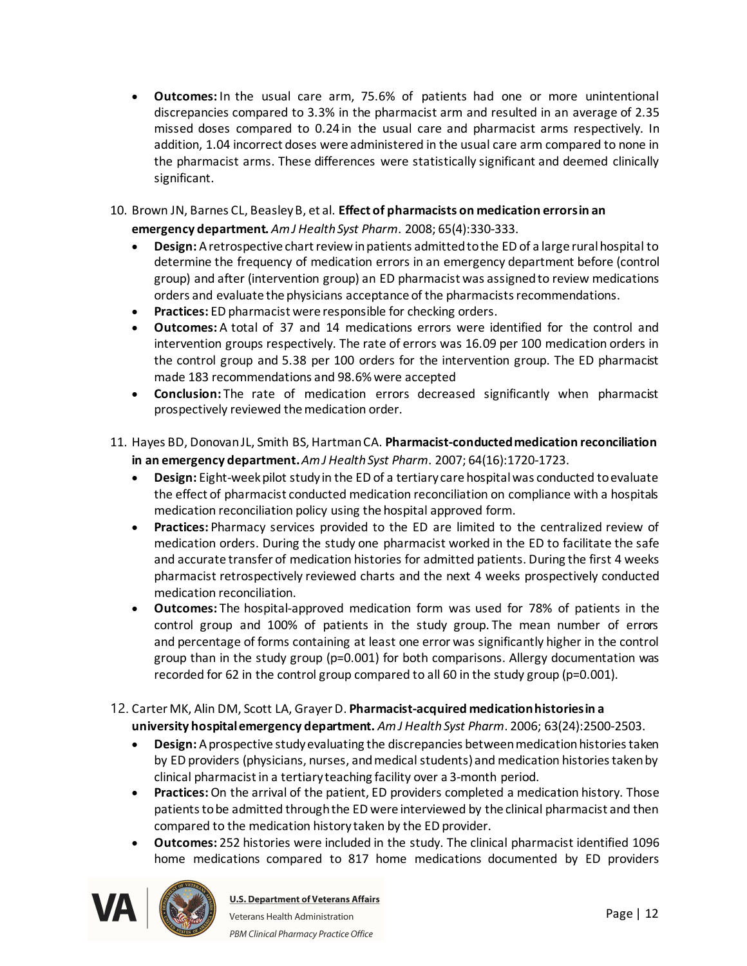- · **Outcomes:** In the usual care arm, 75.6% of patients had one or more unintentional discrepancies compared to 3.3% in the pharmacist arm and resulted in an average of 2.35 missed doses compared to 0.24 in the usual care and pharmacist arms respectively. In addition, 1.04 incorrect doses were administered in the usual care arm compared to none in the pharmacist arms. These differences were statistically significant and deemed clinically significant.
- 10. Brown JN, Barnes CL, Beasley B, et al. **Effect of pharmacists on medication errors in an emergency department.** *Am J Health Syst Pharm*. 2008; 65(4):330-333.
	- · **Design:** A retrospective chart review in patients admitted to the ED of a large rural hospital to determine the frequency of medication errors in an emergency department before (control group) and after (intervention group) an ED pharmacist was assigned to review medications orders and evaluate the physicians acceptance of the pharmacists recommendations.
	- · **Practices:** ED pharmacist were responsible for checking orders.
	- · **Outcomes:** A total of 37 and 14 medications errors were identified for the control and intervention groups respectively. The rate of errors was 16.09 per 100 medication orders in the control group and 5.38 per 100 orders for the intervention group. The ED pharmacist made 183 recommendations and 98.6% were accepted
	- · **Conclusion:** The rate of medication errors decreased significantly when pharmacist prospectively reviewed the medication order.
- 11. Hayes BD, Donovan JL, Smith BS, Hartman CA. **Pharmacist-conducted medication reconciliation in an emergency department.***Am J Health Syst Pharm*. 2007; 64(16):1720-1723.
	- · **Design:** Eight-week pilot study in the ED of a tertiary care hospital was conducted to evaluate the effect of pharmacist conducted medication reconciliation on compliance with a hospitals medication reconciliation policy using the hospital approved form.
	- · **Practices:** Pharmacy services provided to the ED are limited to the centralized review of medication orders. During the study one pharmacist worked in the ED to facilitate the safe and accurate transfer of medication histories for admitted patients. During the first 4 weeks pharmacist retrospectively reviewed charts and the next 4 weeks prospectively conducted medication reconciliation.
	- · **Outcomes:** The hospital-approved medication form was used for 78% of patients in the control group and 100% of patients in the study group. The mean number of errors and percentage of forms containing at least one error was significantly higher in the control group than in the study group (p=0.001) for both comparisons. Allergy documentation was recorded for 62 in the control group compared to all 60 in the study group (p=0.001).
- 12. Carter MK, Alin DM, Scott LA, GrayerD. **Pharmacist-acquired medication histories in a university hospital emergency department.** *Am J Health Syst Pharm*. 2006; 63(24):2500-2503.
	- · **Design:** A prospective study evaluating the discrepancies between medication histories taken by ED providers (physicians, nurses, and medical students) and medication histories taken by clinical pharmacist in a tertiary teaching facility over a 3-month period.
	- · **Practices:**On the arrival of the patient, ED providers completed a medication history. Those patients to be admitted through the ED were interviewed by the clinical pharmacist and then compared to the medication history taken by the ED provider.
	- · **Outcomes:** 252 histories were included in the study. The clinical pharmacist identified 1096 home medications compared to 817 home medications documented by ED providers

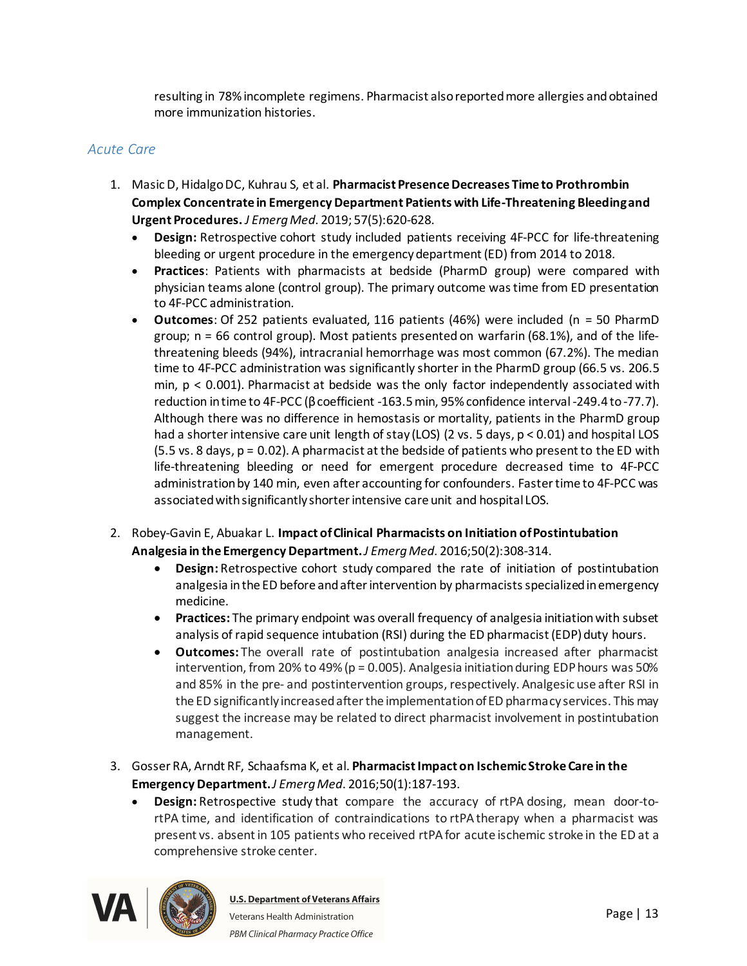resulting in 78% incomplete regimens. Pharmacist also reported more allergies and obtained more immunization histories.

#### <span id="page-12-0"></span>*Acute Care*

- 1. MasicD, Hidalgo DC, Kuhrau S, et al. **Pharmacist Presence Decreases Time to Prothrombin Complex Concentrate in Emergency Department Patients with Life-Threatening Bleeding and Urgent Procedures.** *J EmergMed*. 2019; 57(5):620-628.
	- · **Design:** Retrospective cohort study included patients receiving 4F-PCC for life-threatening bleeding or urgent procedure in the emergency department (ED) from 2014 to 2018.
	- · **Practices**: Patients with pharmacists at bedside (PharmD group) were compared with physician teams alone (control group). The primary outcome was time from ED presentation to 4F-PCC administration.
	- · **Outcomes**: Of 252 patients evaluated, 116 patients (46%) were included (n = 50 PharmD group; n = 66 control group). Most patients presented on warfarin (68.1%), and of the lifethreatening bleeds (94%), intracranial hemorrhage was most common (67.2%). The median time to 4F-PCC administration was significantly shorter in the PharmD group (66.5 vs. 206.5 min, p < 0.001). Pharmacist at bedside was the only factor independently associated with reduction in time to 4F-PCC (β coefficient -163.5 min, 95% confidence interval -249.4 to -77.7). Although there was no difference in hemostasis or mortality, patients in the PharmD group had a shorter intensive care unit length of stay (LOS) (2 vs. 5 days, p < 0.01) and hospital LOS (5.5 vs. 8 days, p = 0.02). A pharmacist at the bedside of patients who present to the ED with life-threatening bleeding or need for emergent procedure decreased time to 4F-PCC administration by 140 min, even after accounting for confounders. Faster time to 4F-PCC was associated with significantly shorter intensive care unit and hospital LOS.
- 2. Robey-Gavin E, Abuakar L. **Impact of Clinical Pharmacists on Initiation of Postintubation Analgesia in the Emergency Department.***J EmergMed*. 2016;50(2):308-314.
	- · **Design:** Retrospective cohort study compared the rate of initiation of postintubation analgesia in the ED before and after intervention by pharmacists specialized in emergency medicine.
	- · **Practices:** The primary endpoint was overall frequency of analgesia initiation with subset analysis of rapid sequence intubation (RSI) during the ED pharmacist (EDP) duty hours.
	- · **Outcomes:** The overall rate of postintubation analgesia increased after pharmacist intervention, from 20% to 49% ( $p = 0.005$ ). Analgesia initiation during EDP hours was 50% and 85% in the pre- and postintervention groups, respectively. Analgesic use after RSI in the ED significantly increased after the implementation of ED pharmacy services. This may suggest the increase may be related to direct pharmacist involvement in postintubation management.
- 3. Gosser RA, Arndt RF, Schaafsma K, et al. **Pharmacist Impact on Ischemic Stroke Care in the Emergency Department.***J EmergMed*. 2016;50(1):187-193.
	- · **Design:** Retrospective study that compare the accuracy of rtPA dosing, mean door-tortPA time, and identification of contraindications to rtPAtherapy when a pharmacist was present vs. absent in 105 patients who received rtPAfor acute ischemic stroke in the ED at a comprehensive stroke center.

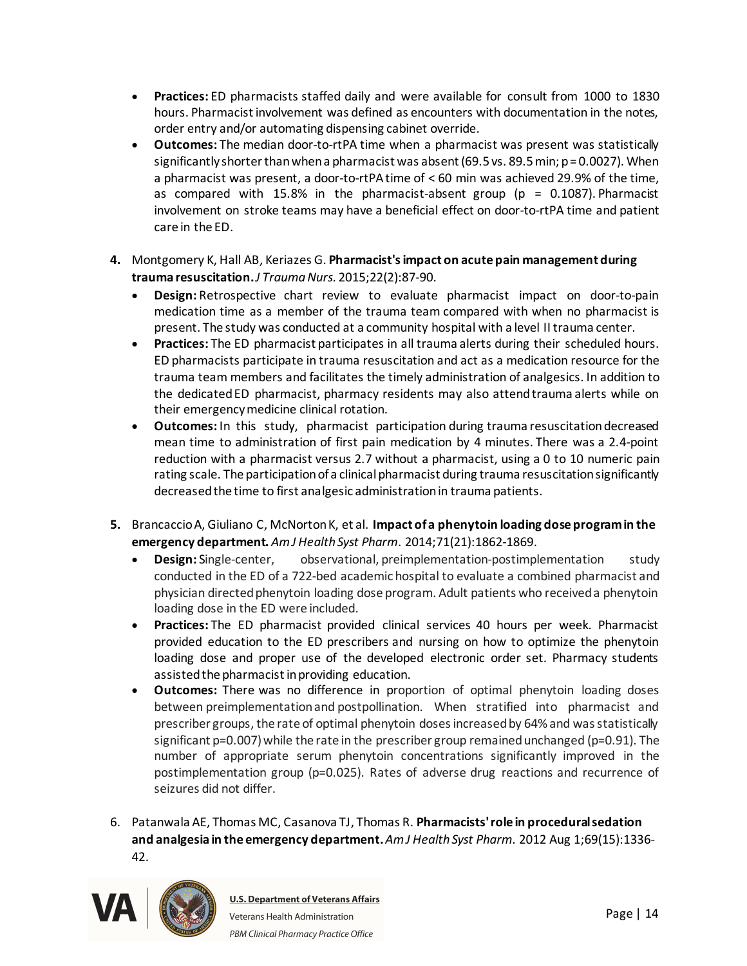- · **Practices:** ED pharmacists staffed daily and were available for consult from 1000 to 1830 hours. Pharmacist involvement was defined as encounters with documentation in the notes, order entry and/or automating dispensing cabinet override.
- · **Outcomes:** The median door-to-rtPA time when a pharmacist was present was statistically significantly shorter than when a pharmacist was absent (69.5 vs. 89.5 min; p = 0.0027). When a pharmacist was present, a door-to-rtPAtime of < 60 min was achieved 29.9% of the time, as compared with 15.8% in the pharmacist-absent group ( $p = 0.1087$ ). Pharmacist involvement on stroke teams may have a beneficial effect on door-to-rtPA time and patient care in the ED.
- **4.** Montgomery K, Hall AB, Keriazes G. **Pharmacist's impact on acute pain management during trauma resuscitation.** *J TraumaNurs*. 2015;22(2):87-90.
	- · **Design:** Retrospective chart review to evaluate pharmacist impact on door-to-pain medication time as a member of the trauma team compared with when no pharmacist is present. The study was conducted at a community hospital with a level II trauma center.
	- · **Practices:** The ED pharmacist participates in all trauma alerts during their scheduled hours. ED pharmacists participate in trauma resuscitation and act as a medication resource for the trauma team members and facilitates the timely administration of analgesics. In addition to the dedicatedED pharmacist, pharmacy residents may also attendtrauma alerts while on their emergency medicine clinical rotation.
	- · **Outcomes:** In this study, pharmacist participation during trauma resuscitationdecreased mean time to administration of first pain medication by 4 minutes. There was a 2.4-point reduction with a pharmacist versus 2.7 without a pharmacist, using a 0 to 10 numeric pain rating scale. The participation of a clinical pharmacist during trauma resuscitation significantly decreased the time to first analgesic administration in trauma patients.
- **5.** Brancaccio A, Giuliano C, McNorton K, et al. **Impact of a phenytoin loading dose program in the emergency department.** *Am J Health Syst Pharm*. 2014;71(21):1862-1869.
	- · **Design:** Single-center, observational, preimplementation-postimplementation study conducted in the ED of a 722-bed academic hospital to evaluate a combined pharmacist and physician directed phenytoin loading dose program. Adult patients who received a phenytoin loading dose in the ED were included.
	- · **Practices:** The ED pharmacist provided clinical services 40 hours per week. Pharmacist provided education to the ED prescribers and nursing on how to optimize the phenytoin loading dose and proper use of the developed electronic order set. Pharmacy students assisted the pharmacist in providing education.
	- · **Outcomes:** There was no difference in proportion of optimal phenytoin loading doses between preimplementationand postpollination. When stratified into pharmacist and prescriber groups, the rate of optimal phenytoin doses increased by 64% and was statistically significant  $p=0.007$ ) while the rate in the prescriber group remained unchanged ( $p=0.91$ ). The number of appropriate serum phenytoin concentrations significantly improved in the postimplementation group (p=0.025). Rates of adverse drug reactions and recurrence of seizures did not differ.
- 6. Patanwala AE, Thomas MC, Casanova TJ, Thomas R. **Pharmacists' role in procedural sedation and analgesia in the emergency department***. Am J Health Syst Pharm*. 2012 Aug 1;69(15):1336- 42.

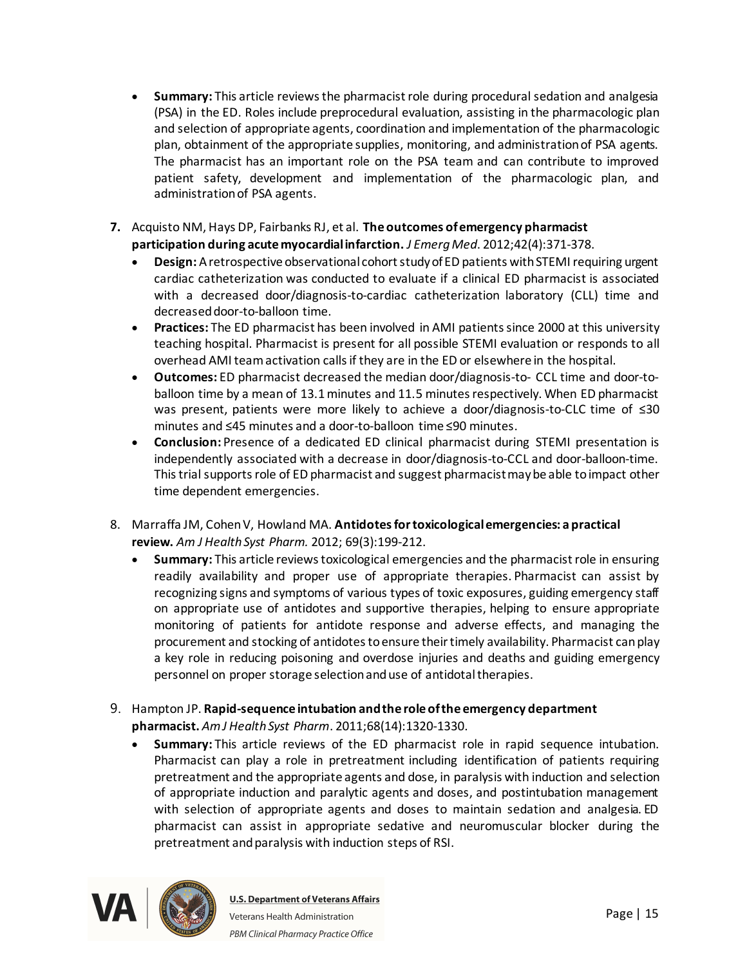- · **Summary:** This article reviews the pharmacist role during procedural sedation and analgesia (PSA) in the ED. Roles include preprocedural evaluation, assisting in the pharmacologic plan and selection of appropriate agents, coordination and implementation of the pharmacologic plan, obtainment of the appropriate supplies, monitoring, and administration of PSA agents. The pharmacist has an important role on the PSA team and can contribute to improved patient safety, development and implementation of the pharmacologic plan, and administration of PSA agents.
- **7.** Acquisto NM, Hays DP, Fairbanks RJ, et al. **The outcomes of emergency pharmacist participation during acute myocardial infarction.** *J EmergMed*. 2012;42(4):371-378.
	- · **Design:** A retrospective observational cohort study of ED patients with STEMI requiring urgent cardiac catheterization was conducted to evaluate if a clinical ED pharmacist is associated with a decreased door/diagnosis-to-cardiac catheterization laboratory (CLL) time and decreased door-to-balloon time.
	- · **Practices:** The ED pharmacist has been involved in AMI patients since 2000 at this university teaching hospital. Pharmacist is present for all possible STEMI evaluation or responds to all overhead AMI team activation calls if they are in the ED or elsewhere in the hospital.
	- · **Outcomes:** ED pharmacist decreased the median door/diagnosis-to- CCL time and door-toballoon time by a mean of 13.1 minutes and 11.5 minutes respectively. When ED pharmacist was present, patients were more likely to achieve a door/diagnosis-to-CLC time of ≤30 minutes and ≤45 minutes and a door-to-balloon time ≤90 minutes.
	- · **Conclusion:** Presence of a dedicated ED clinical pharmacist during STEMI presentation is independently associated with a decrease in door/diagnosis-to-CCL and door-balloon-time. This trial supports role of ED pharmacist and suggest pharmacist may be able to impact other time dependent emergencies.
- 8. Marraffa JM, Cohen V, Howland MA. **Antidotes for toxicological emergencies: a practical review.** *Am J Health Syst Pharm.* 2012; 69(3):199-212.
	- · **Summary:** This article reviews toxicological emergencies and the pharmacist role in ensuring readily availability and proper use of appropriate therapies. Pharmacist can assist by recognizing signs and symptoms of various types of toxic exposures, guiding emergency staff on appropriate use of antidotes and supportive therapies, helping to ensure appropriate monitoring of patients for antidote response and adverse effects, and managing the procurement and stocking of antidotes to ensure their timely availability. Pharmacist can play a key role in reducing poisoning and overdose injuries and deaths and guiding emergency personnel on proper storage selection and use of antidotal therapies.
- 9. Hampton JP. **Rapid-sequence intubation and the role of the emergency department pharmacist.** *Am J Health Syst Pharm*. 2011;68(14):1320-1330.
	- · **Summary:** This article reviews of the ED pharmacist role in rapid sequence intubation. Pharmacist can play a role in pretreatment including identification of patients requiring pretreatment and the appropriate agents and dose, in paralysis with induction and selection of appropriate induction and paralytic agents and doses, and postintubation management with selection of appropriate agents and doses to maintain sedation and analgesia. ED pharmacist can assist in appropriate sedative and neuromuscular blocker during the pretreatment and paralysis with induction steps of RSI.

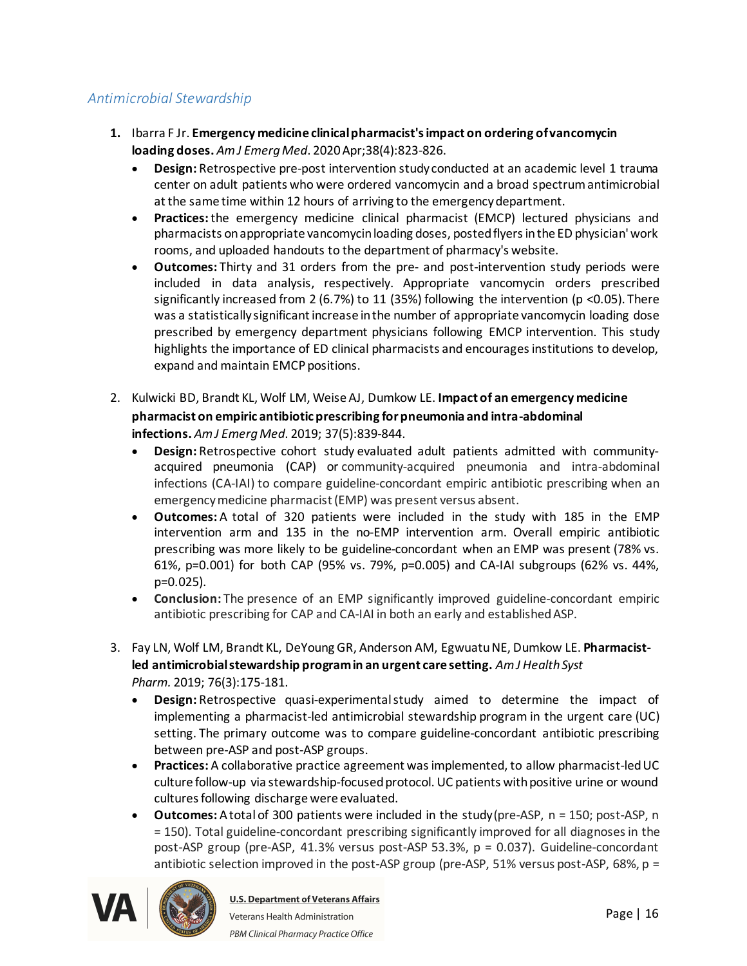### <span id="page-15-0"></span>*Antimicrobial Stewardship*

- **1.** Ibarra F Jr. **Emergency medicine clinical pharmacist's impact on ordering of vancomycin loading doses.** *Am J EmergMed*. 2020 Apr;38(4):823-826.
	- · **Design:** Retrospective pre-post intervention study conducted at an academic level 1 trauma center on adult patients who were ordered vancomycin and a broad spectrum antimicrobial at the same time within 12 hours of arriving to the emergency department.
	- · **Practices:**the emergency medicine clinical pharmacist (EMCP) lectured physicians and pharmacists on appropriate vancomycin loading doses, posted flyers in the ED physician' work rooms, and uploaded handouts to the department of pharmacy's website.
	- · **Outcomes:** Thirty and 31 orders from the pre- and post-intervention study periods were included in data analysis, respectively. Appropriate vancomycin orders prescribed significantly increased from 2 (6.7%) to 11 (35%) following the intervention (p <0.05). There was a statistically significant increase in the number of appropriate vancomycin loading dose prescribed by emergency department physicians following EMCP intervention. This study highlights the importance of ED clinical pharmacists and encourages institutions to develop, expand and maintain EMCP positions.
- 2. Kulwicki BD, Brandt KL, Wolf LM, Weise AJ, Dumkow LE. **Impact of an emergency medicine pharmacist on empiric antibiotic prescribing for pneumonia and intra-abdominal infections.** *Am J EmergMed*. 2019; 37(5):839-844.
	- · **Design:** Retrospective cohort study evaluated adult patients admitted with communityacquired pneumonia (CAP) or community-acquired pneumonia and intra-abdominal infections (CA-IAI) to compare guideline-concordant empiric antibiotic prescribing when an emergency medicine pharmacist (EMP) was present versus absent.
	- · **Outcomes:** A total of 320 patients were included in the study with 185 in the EMP intervention arm and 135 in the no-EMP intervention arm. Overall empiric antibiotic prescribing was more likely to be guideline-concordant when an EMP was present (78% vs. 61%, p=0.001) for both CAP (95% vs. 79%, p=0.005) and CA-IAI subgroups (62% vs. 44%, p=0.025).
	- · **Conclusion:** The presence of an EMP significantly improved guideline-concordant empiric antibiotic prescribing for CAP and CA-IAI in both an early and established ASP.
- 3. Fay LN, Wolf LM, Brandt KL, DeYoung GR, Anderson AM, EgwuatuNE, Dumkow LE. **Pharmacistled antimicrobial stewardship program in an urgent care setting.** *Am J Health Syst Pharm.* 2019; 76(3):175-181.
	- · **Design:** Retrospective quasi-experimentalstudy aimed to determine the impact of implementing a pharmacist-led antimicrobial stewardship program in the urgent care (UC) setting. The primary outcome was to compare guideline-concordant antibiotic prescribing between pre-ASP and post-ASP groups.
	- · **Practices:** A collaborative practice agreement was implemented, to allow pharmacist-led UC culture follow-up via stewardship-focused protocol. UC patients with positive urine or wound cultures following discharge were evaluated.
	- · **Outcomes:** A total of 300 patients were included in the study(pre-ASP, n = 150; post-ASP, n = 150). Total guideline-concordant prescribing significantly improved for all diagnoses in the post-ASP group (pre-ASP, 41.3% versus post-ASP 53.3%, p = 0.037). Guideline-concordant antibiotic selection improved in the post-ASP group (pre-ASP, 51% versus post-ASP, 68%, p =

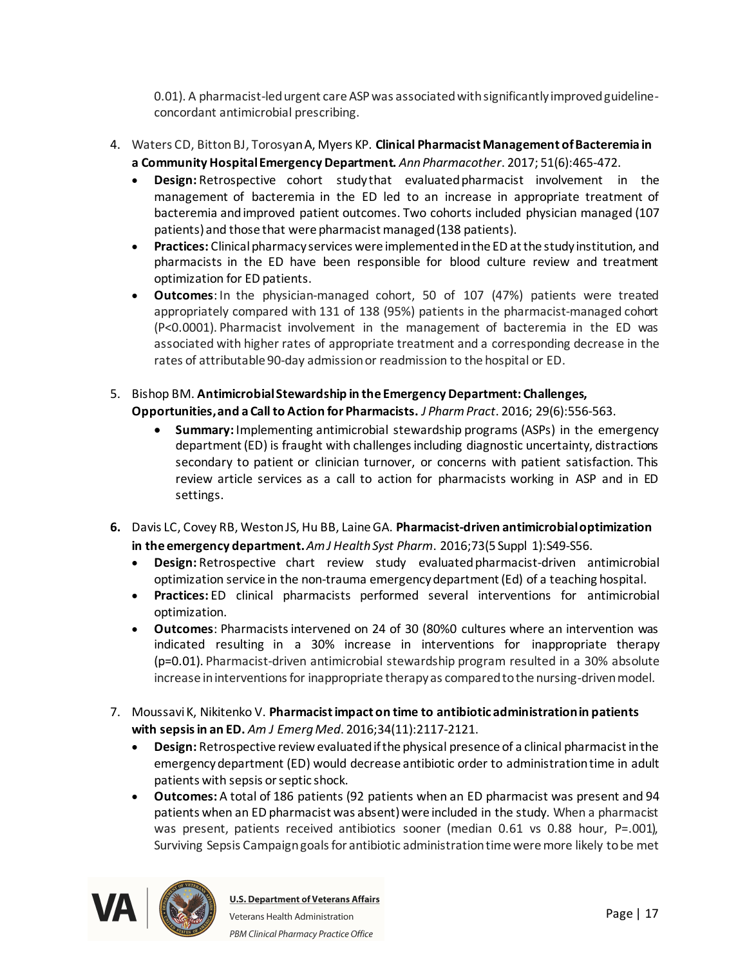0.01). A pharmacist-led urgent care ASP was associated with significantly improved guidelineconcordant antimicrobial prescribing.

- 4. Waters CD, BittonBJ, Torosyan A, Myers KP. **Clinical Pharmacist Management of Bacteremia in a Community Hospital Emergency Department.** *AnnPharmacother*. 2017; 51(6):465-472.
	- · **Design:** Retrospective cohort study that evaluatedpharmacist involvement in the management of bacteremia in the ED led to an increase in appropriate treatment of bacteremia andimproved patient outcomes. Two cohorts included physician managed (107 patients) and those that were pharmacist managed (138 patients).
	- · **Practices:** Clinical pharmacy services were implemented in the ED at the study institution, and pharmacists in the ED have been responsible for blood culture review and treatment optimization for ED patients.
	- · **Outcomes**: In the physician-managed cohort, 50 of 107 (47%) patients were treated appropriately compared with 131 of 138 (95%) patients in the pharmacist-managed cohort (P<0.0001). Pharmacist involvement in the management of bacteremia in the ED was associated with higher rates of appropriate treatment and a corresponding decrease in the rates of attributable 90-day admission or readmission to the hospital or ED.
- 5. Bishop BM. **Antimicrobial Stewardship in the Emergency Department: Challenges, Opportunities, and a Call to Action for Pharmacists.** *J PharmPract*. 2016; 29(6):556-563.
	- · **Summary:** Implementing antimicrobial stewardship programs (ASPs) in the emergency department (ED) is fraught with challenges including diagnostic uncertainty, distractions secondary to patient or clinician turnover, or concerns with patient satisfaction. This review article services as a call to action for pharmacists working in ASP and in ED settings.
- **6.** Davis LC, Covey RB, Weston JS, Hu BB, Laine GA. **Pharmacist-driven antimicrobial optimization in the emergency department.***Am J Health Syst Pharm*. 2016;73(5 Suppl 1):S49-S56.
	- · **Design:** Retrospective chart review study evaluatedpharmacist-driven antimicrobial optimization service in the non-trauma emergency department (Ed) of a teaching hospital.
	- · **Practices:** ED clinical pharmacists performed several interventions for antimicrobial optimization.
	- · **Outcomes**: Pharmacists intervened on 24 of 30 (80%0 cultures where an intervention was indicated resulting in a 30% increase in interventions for inappropriate therapy (p=0.01). Pharmacist-driven antimicrobial stewardship program resulted in a 30% absolute increase in interventions for inappropriate therapy as compared to the nursing-driven model.
- 7. Moussavi K, Nikitenko V. **Pharmacist impact on time to antibiotic administration in patients with sepsis in an ED.** *Am J EmergMed*. 2016;34(11):2117-2121.
	- · **Design:** Retrospective review evaluated if the physical presence of a clinical pharmacist in the emergency department (ED) would decrease antibiotic order to administration time in adult patients with sepsis or septic shock.
	- · **Outcomes:** A total of 186 patients (92 patients when an ED pharmacist was present and 94 patients when an ED pharmacist was absent) were included in the study. When a pharmacist was present, patients received antibiotics sooner (median 0.61 vs 0.88 hour, P=.001), Surviving Sepsis Campaign goals for antibiotic administration time were more likely to be met

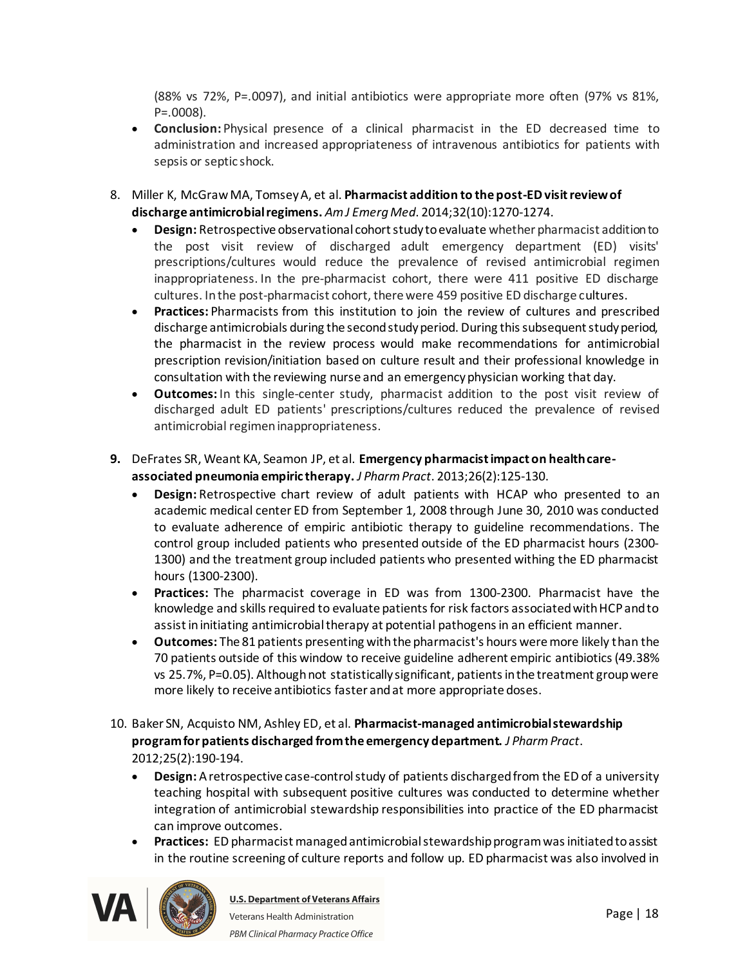(88% vs 72%, P=.0097), and initial antibiotics were appropriate more often (97% vs 81%, P=.0008).

- · **Conclusion:** Physical presence of a clinical pharmacist in the ED decreased time to administration and increased appropriateness of intravenous antibiotics for patients with sepsis or septic shock.
- 8. Miller K, McGraw MA, Tomsey A, et al. **Pharmacist addition to the post-ED visit review of discharge antimicrobial regimens.** *Am J EmergMed*. 2014;32(10):1270-1274.
	- · **Design:** Retrospective observational cohort study to evaluate whether pharmacist addition to the post visit review of discharged adult emergency department (ED) visits' prescriptions/cultures would reduce the prevalence of revised antimicrobial regimen inappropriateness. In the pre-pharmacist cohort, there were 411 positive ED discharge cultures. In the post-pharmacist cohort, there were 459 positive ED discharge cultures.
	- · **Practices:** Pharmacists from this institution to join the review of cultures and prescribed discharge antimicrobials during the second study period. During this subsequent study period, the pharmacist in the review process would make recommendations for antimicrobial prescription revision/initiation based on culture result and their professional knowledge in consultation with the reviewing nurse and an emergency physician working that day.
	- · **Outcomes:** In this single-center study, pharmacist addition to the post visit review of discharged adult ED patients' prescriptions/cultures reduced the prevalence of revised antimicrobial regimen inappropriateness.
- **9.** DeFrates SR, Weant KA, Seamon JP, et al. **Emergency pharmacist impact on health careassociated pneumonia empiric therapy.** *J PharmPract*. 2013;26(2):125-130.
	- · **Design:** Retrospective chart review of adult patients with HCAP who presented to an academic medical center ED from September 1, 2008 through June 30, 2010 was conducted to evaluate adherence of empiric antibiotic therapy to guideline recommendations. The control group included patients who presented outside of the ED pharmacist hours (2300- 1300) and the treatment group included patients who presented withing the ED pharmacist hours (1300-2300).
	- · **Practices:** The pharmacist coverage in ED was from 1300-2300. Pharmacist have the knowledge and skills required to evaluate patients for risk factors associated with HCP and to assist in initiating antimicrobial therapy at potential pathogens in an efficient manner.
	- · **Outcomes:** The 81 patients presenting with the pharmacist's hours were more likely than the 70 patients outside of this window to receive guideline adherent empiric antibiotics (49.38% vs 25.7%, P=0.05). Although not statistically significant, patients in the treatment group were more likely to receive antibiotics faster and at more appropriate doses.
- 10. Baker SN, Acquisto NM, Ashley ED, et al. **Pharmacist-managed antimicrobial stewardship program for patients discharged from the emergency department.** *J PharmPract*. 2012;25(2):190-194.
	- · **Design:** A retrospective case-control study of patients discharged from the ED of a university teaching hospital with subsequent positive cultures was conducted to determine whether integration of antimicrobial stewardship responsibilities into practice of the ED pharmacist can improve outcomes.
	- · **Practices:** ED pharmacist managed antimicrobial stewardship program was initiated to assist in the routine screening of culture reports and follow up. ED pharmacist was also involved in